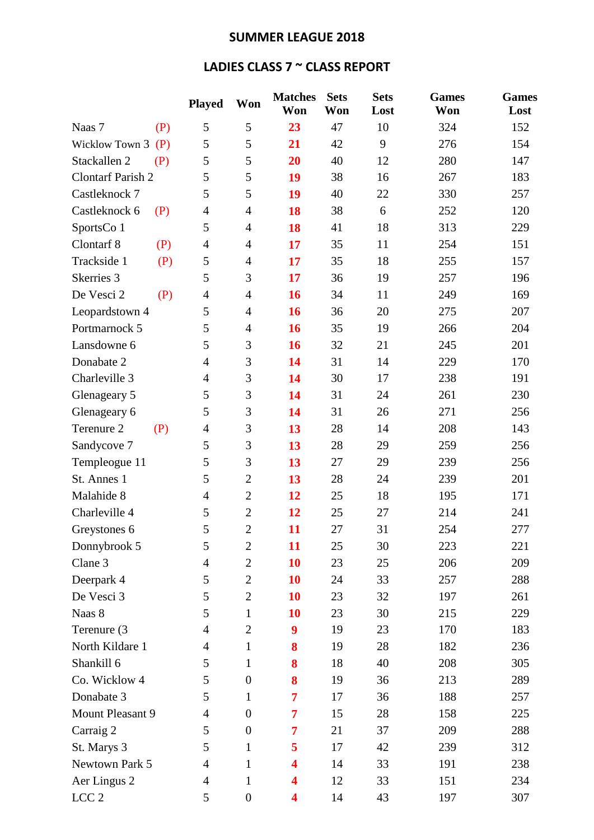## **SUMMER LEAGUE 2018**

## **LADIES CLASS 7 ~ CLASS REPORT**

|                          |     | <b>Played</b>  | Won              | <b>Matches</b><br>Won   | <b>Sets</b><br>Won | <b>Sets</b><br>Lost | <b>Games</b><br>Won | <b>Games</b><br>Lost |
|--------------------------|-----|----------------|------------------|-------------------------|--------------------|---------------------|---------------------|----------------------|
| Naas 7                   | (P) | 5              | 5                | 23                      | 47                 | 10                  | 324                 | 152                  |
| Wicklow Town 3           | (P) | 5              | 5                | 21                      | 42                 | 9                   | 276                 | 154                  |
| Stackallen 2             | (P) | 5              | 5                | 20                      | 40                 | 12                  | 280                 | 147                  |
| <b>Clontarf Parish 2</b> |     | 5              | 5                | 19                      | 38                 | 16                  | 267                 | 183                  |
| Castleknock 7            |     | 5              | 5                | 19                      | 40                 | 22                  | 330                 | 257                  |
| Castleknock 6            | (P) | $\overline{4}$ | $\overline{4}$   | 18                      | 38                 | 6                   | 252                 | 120                  |
| SportsCo 1               |     | 5              | $\overline{4}$   | 18                      | 41                 | 18                  | 313                 | 229                  |
| Clontarf 8               | (P) | $\overline{4}$ | $\overline{4}$   | 17                      | 35                 | 11                  | 254                 | 151                  |
| Trackside 1              | (P) | 5              | $\overline{4}$   | 17                      | 35                 | 18                  | 255                 | 157                  |
| Skerries 3               |     | 5              | 3                | 17                      | 36                 | 19                  | 257                 | 196                  |
| De Vesci 2               | (P) | $\overline{4}$ | $\overline{4}$   | 16                      | 34                 | 11                  | 249                 | 169                  |
| Leopardstown 4           |     | 5              | $\overline{4}$   | 16                      | 36                 | 20                  | 275                 | 207                  |
| Portmarnock 5            |     | 5              | $\overline{4}$   | 16                      | 35                 | 19                  | 266                 | 204                  |
| Lansdowne 6              |     | 5              | 3                | 16                      | 32                 | 21                  | 245                 | 201                  |
| Donabate 2               |     | $\overline{4}$ | 3                | 14                      | 31                 | 14                  | 229                 | 170                  |
| Charleville 3            |     | $\overline{4}$ | 3                | 14                      | 30                 | 17                  | 238                 | 191                  |
| Glenageary 5             |     | 5              | 3                | 14                      | 31                 | 24                  | 261                 | 230                  |
| Glenageary 6             |     | 5              | 3                | 14                      | 31                 | 26                  | 271                 | 256                  |
| Terenure 2<br>(P)        |     | $\overline{4}$ | 3                | 13                      | 28                 | 14                  | 208                 | 143                  |
| Sandycove 7              |     | 5              | 3                | 13                      | 28                 | 29                  | 259                 | 256                  |
| Templeogue 11            |     | 5              | 3                | 13                      | 27                 | 29                  | 239                 | 256                  |
| St. Annes 1              |     | 5              | $\mathbf{2}$     | 13                      | 28                 | 24                  | 239                 | 201                  |
| Malahide 8               |     | $\overline{4}$ | $\mathbf{2}$     | 12                      | 25                 | 18                  | 195                 | 171                  |
| Charleville 4            |     | 5              | $\mathbf{2}$     | 12                      | 25                 | 27                  | 214                 | 241                  |
| Greystones 6             |     | 5              | $\mathbf{2}$     | 11                      | 27                 | 31                  | 254                 | 277                  |
| Donnybrook 5             |     | 5              | $\mathbf{2}$     | 11                      | 25                 | 30                  | 223                 | 221                  |
| Clane 3                  |     | $\overline{4}$ | $\mathbf{2}$     | 10                      | 23                 | 25                  | 206                 | 209                  |
| Deerpark 4               |     | 5              | $\mathbf{2}$     | 10                      | 24                 | 33                  | 257                 | 288                  |
| De Vesci 3               |     | 5              | $\overline{2}$   | 10                      | 23                 | 32                  | 197                 | 261                  |
| Naas 8                   |     | 5              | $\mathbf{1}$     | 10                      | 23                 | 30                  | 215                 | 229                  |
| Terenure (3              |     | $\overline{4}$ | $\mathbf{2}$     | 9                       | 19                 | 23                  | 170                 | 183                  |
| North Kildare 1          |     | $\overline{4}$ | $\mathbf{1}$     | 8                       | 19                 | 28                  | 182                 | 236                  |
| Shankill 6               |     | 5              | $\mathbf{1}$     | 8                       | 18                 | 40                  | 208                 | 305                  |
| Co. Wicklow 4            |     | 5              | $\boldsymbol{0}$ | 8                       | 19                 | 36                  | 213                 | 289                  |
| Donabate 3               |     | 5              | $\mathbf{1}$     | $\overline{7}$          | 17                 | 36                  | 188                 | 257                  |
| Mount Pleasant 9         |     | $\overline{4}$ | $\boldsymbol{0}$ | 7                       | 15                 | 28                  | 158                 | 225                  |
| Carraig 2                |     | 5              | $\boldsymbol{0}$ | 7                       | 21                 | 37                  | 209                 | 288                  |
| St. Marys 3              |     | 5              | $\mathbf{1}$     | 5                       | 17                 | 42                  | 239                 | 312                  |
| Newtown Park 5           |     | $\overline{4}$ | $\mathbf{1}$     | 4                       | 14                 | 33                  | 191                 | 238                  |
| Aer Lingus 2             |     | $\overline{4}$ | $\mathbf{1}$     | $\overline{\mathbf{4}}$ | 12                 | 33                  | 151                 | 234                  |
| LCC <sub>2</sub>         |     | 5              | $\boldsymbol{0}$ | 4                       | 14                 | 43                  | 197                 | 307                  |